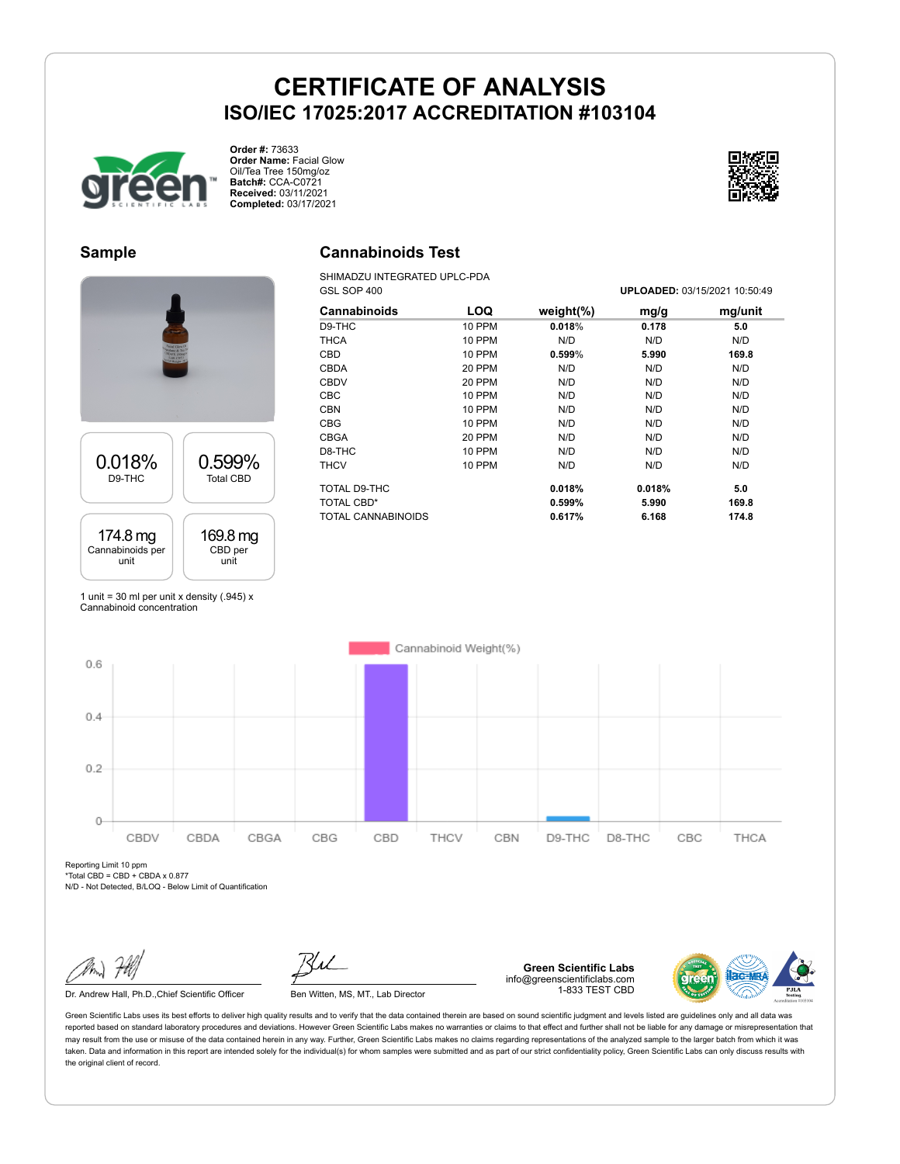

**Order #:** 73633 **Order Name:** Facial Glow Oil/Tea Tree 150mg/oz **Batch#:** CCA-C0721 **Received:** 03/11/2021 **Completed:** 03/17/2021



#### **Sample**

# 0.018% D9-THC 0.599% Total CBD 174.8 mg Cannabinoids per unit 169.8 mg CBD per unit

1 unit = 30 ml per unit x density  $(.945)$  x Cannabinoid concentration

### **Cannabinoids Test**

SHIMADZU INTEGRATED UPLC-PDA GSL SOP 400 **UPLOADED:** 03/15/2021 10:50:49

| Cannabinoids       | LOQ           | weight $(\%)$ | mg/g   | mg/unit |
|--------------------|---------------|---------------|--------|---------|
| D9-THC             | <b>10 PPM</b> | 0.018%        | 0.178  | 5.0     |
| <b>THCA</b>        | <b>10 PPM</b> | N/D           | N/D    | N/D     |
| <b>CBD</b>         | <b>10 PPM</b> | 0.599%        | 5.990  | 169.8   |
| <b>CBDA</b>        | 20 PPM        | N/D           | N/D    | N/D     |
| <b>CBDV</b>        | <b>20 PPM</b> | N/D           | N/D    | N/D     |
| <b>CBC</b>         | <b>10 PPM</b> | N/D           | N/D    | N/D     |
| <b>CBN</b>         | <b>10 PPM</b> | N/D           | N/D    | N/D     |
| <b>CBG</b>         | 10 PPM        | N/D           | N/D    | N/D     |
| <b>CBGA</b>        | <b>20 PPM</b> | N/D           | N/D    | N/D     |
| D8-THC             | <b>10 PPM</b> | N/D           | N/D    | N/D     |
| <b>THCV</b>        | <b>10 PPM</b> | N/D           | N/D    | N/D     |
| TOTAL D9-THC       |               | 0.018%        | 0.018% | 5.0     |
| <b>TOTAL CBD*</b>  |               | 0.599%        | 5.990  | 169.8   |
| TOTAL CANNABINOIDS |               | 0.617%        | 6.168  | 174.8   |
|                    |               |               |        |         |



Reporting Limit 10 ppm

 $*Total CBD = CBD + CBDA \times 0.877$ N/D - Not Detected, B/LOQ - Below Limit of Quantification

Dr. Andrew Hall, Ph.D., Chief Scientific Officer Ben Witten, MS, MT., Lab Director

**Green Scientific Labs** info@greenscientificlabs.com 1-833 TEST CBD

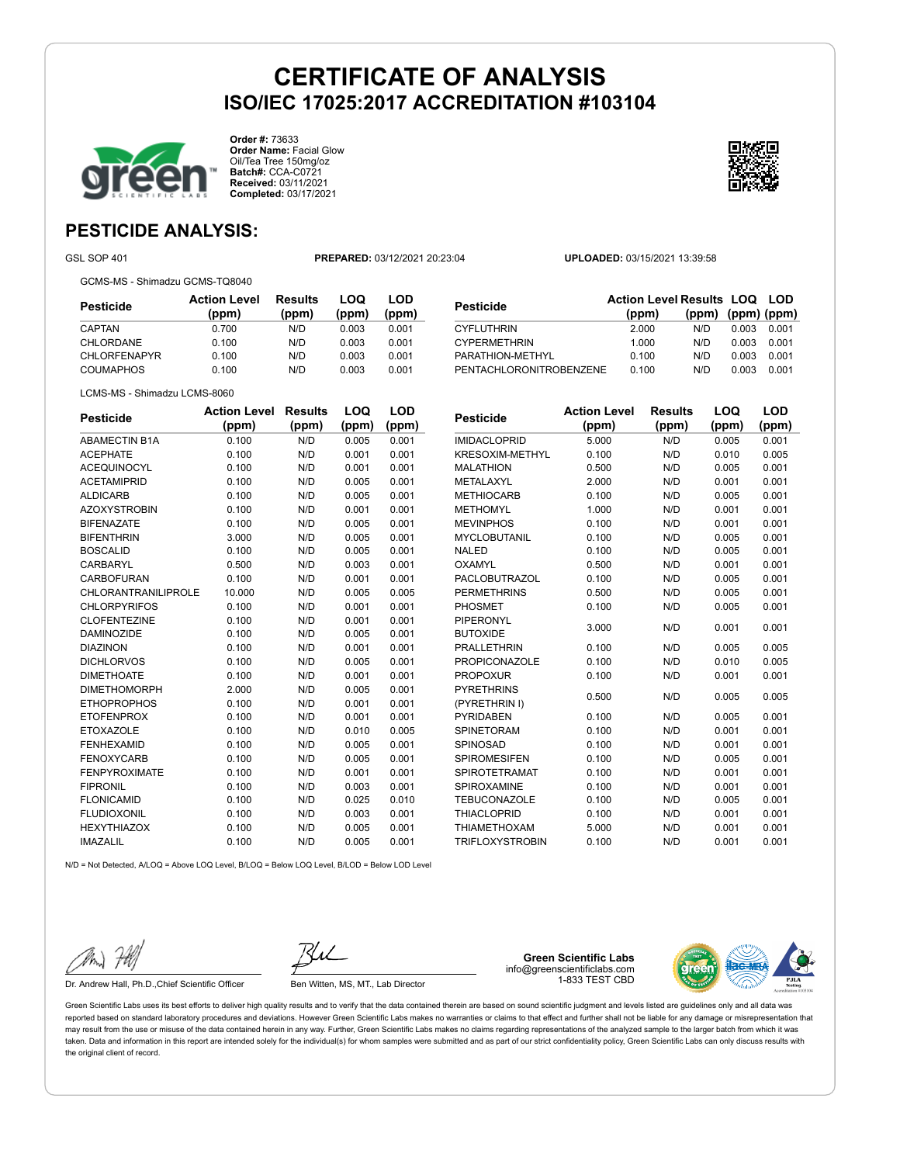

**Order #:** 73633 **Order Name:** Facial Glow Oil/Tea Tree 150mg/oz **Batch#:** CCA-C0721 **Received:** 03/11/2021 **Completed:** 03/17/2021



### **PESTICIDE ANALYSIS:**

GSL SOP 401 **PREPARED:** 03/12/2021 20:23:04 **UPLOADED:** 03/15/2021 13:39:58

GCMS-MS - Shimadzu GCMS-TQ8040

| Pesticide           | <b>Action Level</b><br>(ppm) | Results<br>(ppm) | LOQ<br>(ppm) | LOD<br>(ppm) |
|---------------------|------------------------------|------------------|--------------|--------------|
| CAPTAN              | 0.700                        | N/D              | 0.003        | 0.001        |
| CHLORDANE           | 0.100                        | N/D              | 0.003        | 0.001        |
| <b>CHLORFENAPYR</b> | 0.100                        | N/D              | 0.003        | 0.001        |
| <b>COUMAPHOS</b>    | 0.100                        | N/D              | 0.003        | 0.001        |

| Pesticide               | <b>Action Level Results LOQ LOD</b><br>(ppm) | (ppm) (ppm) (ppm) |       |       |
|-------------------------|----------------------------------------------|-------------------|-------|-------|
| CYFLUTHRIN              | 2.000                                        | N/D               | 0.003 | 0.001 |
| <b>CYPERMETHRIN</b>     | 1.000                                        | N/D               | 0.003 | 0.001 |
| PARATHION-METHYL        | 0.100                                        | N/D               | 0.003 | 0.001 |
| PENTACHLORONITROBENZENE | 0.100                                        | N/D               | 0.003 | 0.001 |

|  | LCMS-MS - Shimadzu LCMS-8060 |
|--|------------------------------|
|  |                              |

| <b>Pesticide</b>     | <b>Action Level</b> | <b>Results</b> | LOQ   | LOD   |
|----------------------|---------------------|----------------|-------|-------|
|                      | (ppm)               | (ppm)          | (ppm) | (ppm) |
| <b>ABAMECTIN B1A</b> | 0.100               | N/D            | 0.005 | 0.001 |
| <b>ACEPHATE</b>      | 0.100               | N/D            | 0.001 | 0.001 |
| <b>ACEQUINOCYL</b>   | 0.100               | N/D            | 0.001 | 0.001 |
| <b>ACETAMIPRID</b>   | 0.100               | N/D            | 0.005 | 0.001 |
| <b>ALDICARB</b>      | 0.100               | N/D            | 0.005 | 0.001 |
| <b>AZOXYSTROBIN</b>  | 0.100               | N/D            | 0.001 | 0.001 |
| <b>BIFENAZATE</b>    | 0.100               | N/D            | 0.005 | 0.001 |
| <b>BIFENTHRIN</b>    | 3.000               | N/D            | 0.005 | 0.001 |
| <b>BOSCALID</b>      | 0.100               | N/D            | 0.005 | 0.001 |
| CARBARYL             | 0.500               | N/D            | 0.003 | 0.001 |
| <b>CARBOFURAN</b>    | 0.100               | N/D            | 0.001 | 0.001 |
| CHLORANTRANILIPROLE  | 10.000              | N/D            | 0.005 | 0.005 |
| <b>CHLORPYRIFOS</b>  | 0.100               | N/D            | 0.001 | 0.001 |
| <b>CLOFENTEZINE</b>  | 0.100               | N/D            | 0.001 | 0.001 |
| <b>DAMINOZIDE</b>    | 0.100               | N/D            | 0.005 | 0.001 |
| <b>DIAZINON</b>      | 0.100               | N/D            | 0.001 | 0.001 |
| <b>DICHLORVOS</b>    | 0.100               | N/D            | 0.005 | 0.001 |
| <b>DIMETHOATE</b>    | 0.100               | N/D            | 0.001 | 0.001 |
| <b>DIMETHOMORPH</b>  | 2.000               | N/D            | 0.005 | 0.001 |
| <b>ETHOPROPHOS</b>   | 0.100               | N/D            | 0.001 | 0.001 |
| <b>ETOFENPROX</b>    | 0.100               | N/D            | 0.001 | 0.001 |
| <b>ETOXAZOLE</b>     | 0.100               | N/D            | 0.010 | 0.005 |
| <b>FENHEXAMID</b>    | 0.100               | N/D            | 0.005 | 0.001 |
| <b>FENOXYCARB</b>    | 0.100               | N/D            | 0.005 | 0.001 |
| <b>FENPYROXIMATE</b> | 0.100               | N/D            | 0.001 | 0.001 |
| <b>FIPRONIL</b>      | 0.100               | N/D            | 0.003 | 0.001 |
| <b>FLONICAMID</b>    | 0.100               | N/D            | 0.025 | 0.010 |
| <b>FLUDIOXONIL</b>   | 0.100               | N/D            | 0.003 | 0.001 |
| <b>HEXYTHIAZOX</b>   | 0.100               | N/D            | 0.005 | 0.001 |
| <b>IMAZALIL</b>      | 0.100               | N/D            | 0.005 | 0.001 |

| <b>Pesticide</b>       | <b>Action Level</b> | <b>Results</b> | LOQ   | LOD   |
|------------------------|---------------------|----------------|-------|-------|
|                        | (ppm)               | (ppm)          | (ppm) | (ppm) |
| <b>IMIDACLOPRID</b>    | 5.000               | N/D            | 0.005 | 0.001 |
| KRESOXIM-METHYL        | 0.100               | N/D            | 0.010 | 0.005 |
| <b>MALATHION</b>       | 0.500               | N/D            | 0.005 | 0.001 |
| <b>METALAXYL</b>       | 2.000               | N/D            | 0.001 | 0.001 |
| <b>METHIOCARB</b>      | 0.100               | N/D            | 0.005 | 0.001 |
| <b>METHOMYL</b>        | 1.000               | N/D            | 0.001 | 0.001 |
| <b>MEVINPHOS</b>       | 0.100               | N/D            | 0.001 | 0.001 |
| <b>MYCLOBUTANIL</b>    | 0.100               | N/D            | 0.005 | 0.001 |
| <b>NALED</b>           | 0.100               | N/D            | 0.005 | 0.001 |
| OXAMYL                 | 0.500               | N/D            | 0.001 | 0.001 |
| <b>PACLOBUTRAZOL</b>   | 0.100               | N/D            | 0.005 | 0.001 |
| <b>PERMETHRINS</b>     | 0.500               | N/D            | 0.005 | 0.001 |
| PHOSMET                | 0.100               | N/D            | 0.005 | 0.001 |
| <b>PIPERONYL</b>       | 3.000               | N/D            | 0.001 |       |
| <b>BUTOXIDE</b>        |                     |                |       | 0.001 |
| <b>PRALLETHRIN</b>     | 0.100               | N/D            | 0.005 | 0.005 |
| <b>PROPICONAZOLE</b>   | 0.100               | N/D            | 0.010 | 0.005 |
| <b>PROPOXUR</b>        | 0.100               | N/D            | 0.001 | 0.001 |
| <b>PYRETHRINS</b>      | 0.500               | N/D            | 0.005 | 0.005 |
| (PYRETHRIN I)          |                     |                |       |       |
| <b>PYRIDABEN</b>       | 0.100               | N/D            | 0.005 | 0.001 |
| <b>SPINETORAM</b>      | 0.100               | N/D            | 0.001 | 0.001 |
| SPINOSAD               | 0.100               | N/D            | 0.001 | 0.001 |
| <b>SPIROMESIFEN</b>    | 0.100               | N/D            | 0.005 | 0.001 |
| <b>SPIROTETRAMAT</b>   | 0.100               | N/D            | 0.001 | 0.001 |
| SPIROXAMINE            | 0.100               | N/D            | 0.001 | 0.001 |
| <b>TEBUCONAZOLE</b>    | 0.100               | N/D            | 0.005 | 0.001 |
| <b>THIACLOPRID</b>     | 0.100               | N/D            | 0.001 | 0.001 |
| <b>THIAMETHOXAM</b>    | 5.000               | N/D            | 0.001 | 0.001 |
| <b>TRIFLOXYSTROBIN</b> | 0.100               | N/D            | 0.001 | 0.001 |

N/D = Not Detected, A/LOQ = Above LOQ Level, B/LOQ = Below LOQ Level, B/LOD = Below LOD Level

Dr. Andrew Hall, Ph.D., Chief Scientific Officer Ben Witten, MS, MT., Lab Director

**Green Scientific Labs** info@greenscientificlabs.com 1-833 TEST CBD

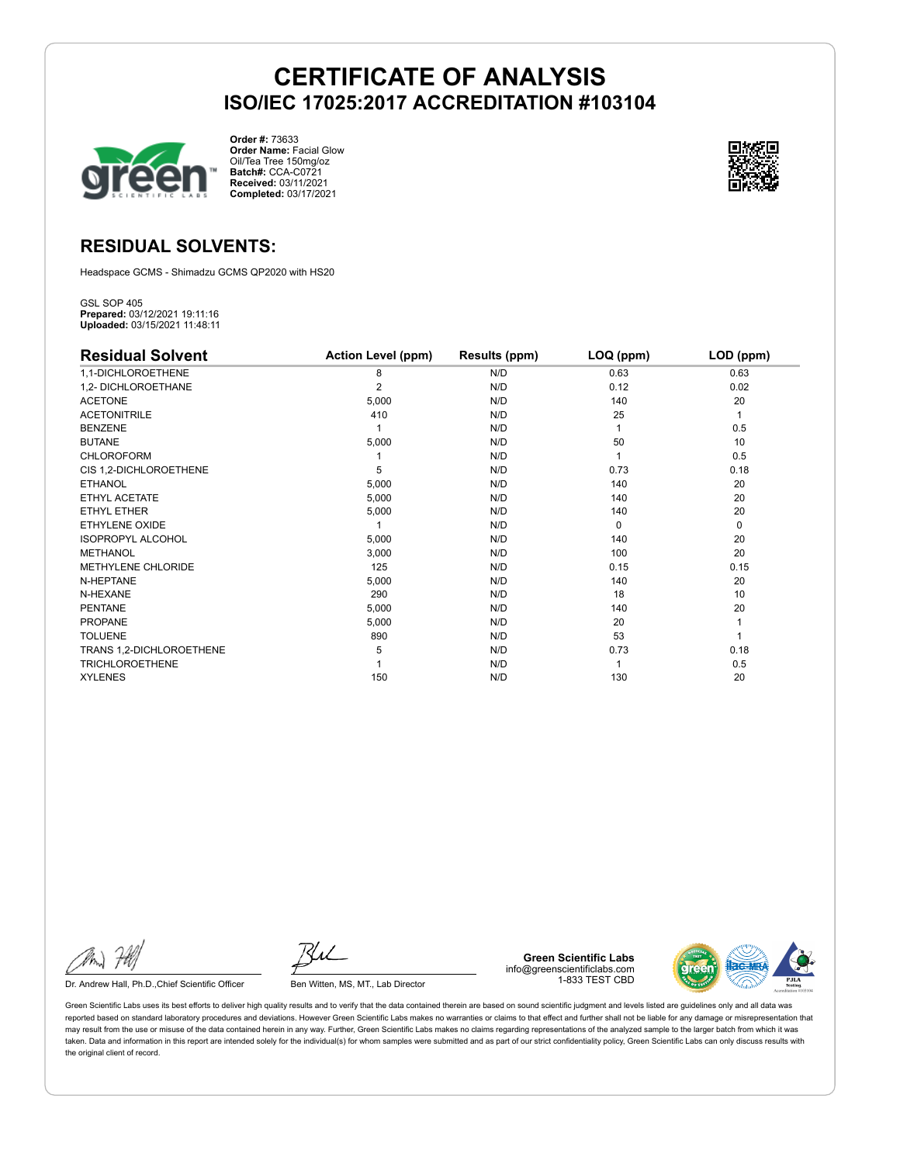

**Order #:** 73633 **Order Name:** Facial Glow Oil/Tea Tree 150mg/oz **Batch#:** CCA-C0721 **Received:** 03/11/2021 **Completed:** 03/17/2021



### **RESIDUAL SOLVENTS:**

Headspace GCMS - Shimadzu GCMS QP2020 with HS20

GSL SOP 405 **Prepared:** 03/12/2021 19:11:16 **Uploaded:** 03/15/2021 11:48:11

| <b>Residual Solvent</b>  | <b>Action Level (ppm)</b> | Results (ppm) | LOQ (ppm) | LOD (ppm) |
|--------------------------|---------------------------|---------------|-----------|-----------|
| 1,1-DICHLOROETHENE       | 8                         | N/D           | 0.63      | 0.63      |
| 1,2- DICHLOROETHANE      | $\overline{2}$            | N/D           | 0.12      | 0.02      |
| <b>ACETONE</b>           | 5,000                     | N/D           | 140       | 20        |
| <b>ACETONITRILE</b>      | 410                       | N/D           | 25        | 1         |
| <b>BENZENE</b>           |                           | N/D           |           | 0.5       |
| <b>BUTANE</b>            | 5,000                     | N/D           | 50        | 10        |
| <b>CHLOROFORM</b>        |                           | N/D           |           | 0.5       |
| CIS 1,2-DICHLOROETHENE   | 5                         | N/D           | 0.73      | 0.18      |
| <b>ETHANOL</b>           | 5,000                     | N/D           | 140       | 20        |
| ETHYL ACETATE            | 5,000                     | N/D           | 140       | 20        |
| <b>ETHYL ETHER</b>       | 5,000                     | N/D           | 140       | 20        |
| ETHYLENE OXIDE           |                           | N/D           | $\Omega$  | 0         |
| <b>ISOPROPYL ALCOHOL</b> | 5,000                     | N/D           | 140       | 20        |
| <b>METHANOL</b>          | 3,000                     | N/D           | 100       | 20        |
| METHYLENE CHLORIDE       | 125                       | N/D           | 0.15      | 0.15      |
| N-HEPTANE                | 5,000                     | N/D           | 140       | 20        |
| N-HEXANE                 | 290                       | N/D           | 18        | 10        |
| <b>PENTANE</b>           | 5,000                     | N/D           | 140       | 20        |
| <b>PROPANE</b>           | 5,000                     | N/D           | 20        |           |
| <b>TOLUENE</b>           | 890                       | N/D           | 53        |           |
| TRANS 1,2-DICHLOROETHENE | 5                         | N/D           | 0.73      | 0.18      |
| <b>TRICHLOROETHENE</b>   |                           | N/D           |           | 0.5       |
| <b>XYLENES</b>           | 150                       | N/D           | 130       | 20        |

Dr. Andrew Hall, Ph.D., Chief Scientific Officer Ben Witten, MS, MT., Lab Director

**Green Scientific Labs** info@greenscientificlabs.com 1-833 TEST CBD

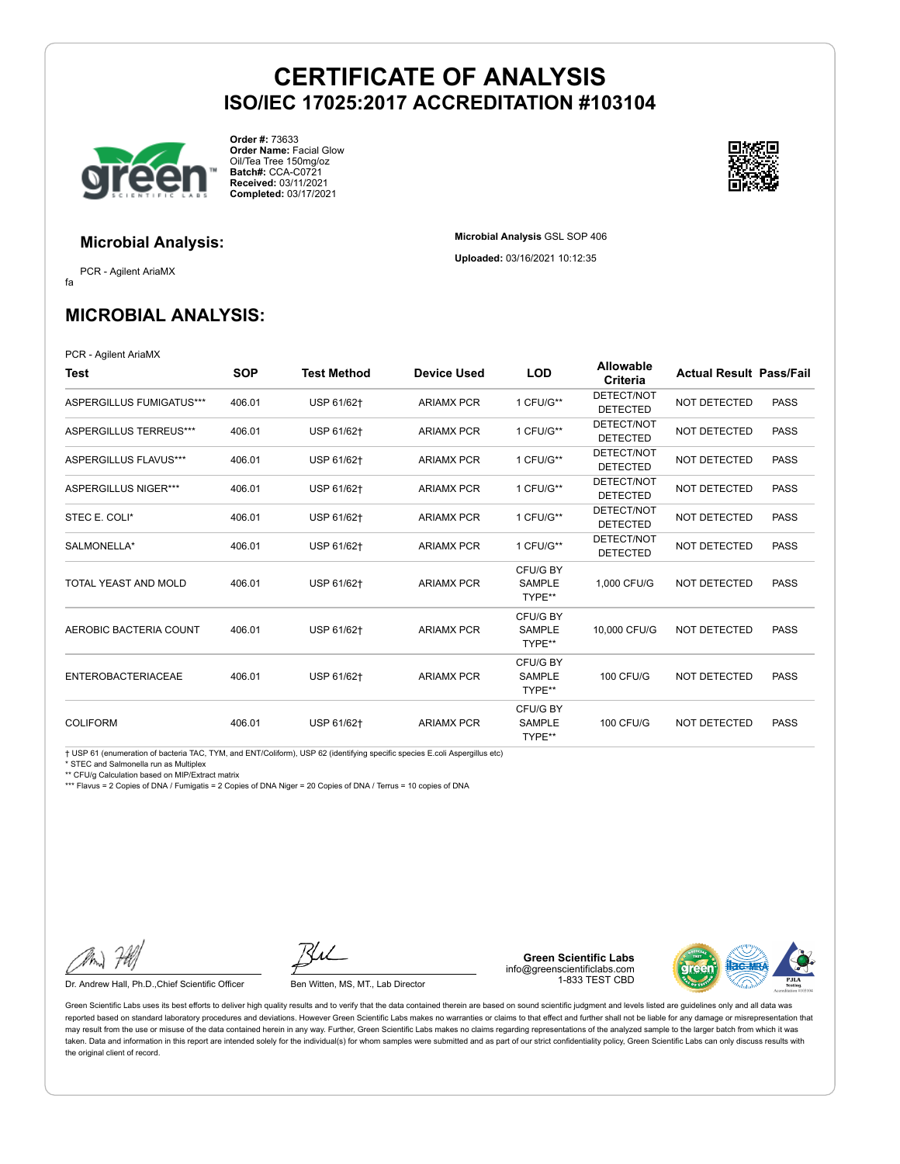**Microbial Analysis** GSL SOP 406 **Uploaded:** 03/16/2021 10:12:35



**Order #:** 73633 **Order Name:** Facial Glow Oil/Tea Tree 150mg/oz **Batch#:** CCA-C0721 **Received:** 03/11/2021 **Completed:** 03/17/2021



#### **Microbial Analysis:**

fa PCR - Agilent AriaMX

**MICROBIAL ANALYSIS:**

PCR - Agilent AriaMX

| Test                        | <b>SOP</b> | <b>Test Method</b> | <b>Device Used</b> | <b>LOD</b>                          | <b>Allowable</b><br>Criteria  | <b>Actual Result Pass/Fail</b> |             |
|-----------------------------|------------|--------------------|--------------------|-------------------------------------|-------------------------------|--------------------------------|-------------|
| ASPERGILLUS FUMIGATUS***    | 406.01     | USP 61/62+         | <b>ARIAMX PCR</b>  | 1 CFU/G**                           | DETECT/NOT<br><b>DETECTED</b> | <b>NOT DETECTED</b>            | <b>PASS</b> |
| ASPERGILLUS TERREUS***      | 406.01     | USP 61/62+         | <b>ARIAMX PCR</b>  | 1 CFU/G**                           | DETECT/NOT<br><b>DETECTED</b> | <b>NOT DETECTED</b>            | <b>PASS</b> |
| ASPERGILLUS FLAVUS***       | 406.01     | USP 61/62+         | <b>ARIAMX PCR</b>  | 1 CFU/G**                           | DETECT/NOT<br><b>DETECTED</b> | <b>NOT DETECTED</b>            | <b>PASS</b> |
| <b>ASPERGILLUS NIGER***</b> | 406.01     | USP 61/62+         | <b>ARIAMX PCR</b>  | 1 CFU/G**                           | DETECT/NOT<br><b>DETECTED</b> | <b>NOT DETECTED</b>            | <b>PASS</b> |
| STEC E. COLI*               | 406.01     | USP 61/62+         | <b>ARIAMX PCR</b>  | 1 CFU/G**                           | DETECT/NOT<br><b>DETECTED</b> | NOT DETECTED                   | <b>PASS</b> |
| SALMONELLA*                 | 406.01     | USP 61/62+         | <b>ARIAMX PCR</b>  | 1 CFU/G**                           | DETECT/NOT<br><b>DETECTED</b> | <b>NOT DETECTED</b>            | <b>PASS</b> |
| TOTAL YEAST AND MOLD        | 406.01     | USP 61/62+         | <b>ARIAMX PCR</b>  | CFU/G BY<br><b>SAMPLE</b><br>TYPE** | 1.000 CFU/G                   | <b>NOT DETECTED</b>            | <b>PASS</b> |
| AEROBIC BACTERIA COUNT      | 406.01     | USP 61/62+         | <b>ARIAMX PCR</b>  | CFU/G BY<br><b>SAMPLE</b><br>TYPE** | 10,000 CFU/G                  | <b>NOT DETECTED</b>            | <b>PASS</b> |
| <b>ENTEROBACTERIACEAE</b>   | 406.01     | USP 61/62+         | <b>ARIAMX PCR</b>  | CFU/G BY<br><b>SAMPLE</b><br>TYPE** | <b>100 CFU/G</b>              | <b>NOT DETECTED</b>            | <b>PASS</b> |
| <b>COLIFORM</b>             | 406.01     | USP 61/62+         | <b>ARIAMX PCR</b>  | CFU/G BY<br><b>SAMPLE</b><br>TYPE** | <b>100 CFU/G</b>              | <b>NOT DETECTED</b>            | <b>PASS</b> |

† USP 61 (enumeration of bacteria TAC, TYM, and ENT/Coliform), USP 62 (identifying specific species E.coli Aspergillus etc)

\* STEC and Salmonella run as Multiplex

\*\* CFU/g Calculation based on MIP/Extract matrix

\*\*\* Flavus = 2 Copies of DNA / Fumigatis = 2 Copies of DNA Niger = 20 Copies of DNA / Terrus = 10 copies of DNA

Dr. Andrew Hall, Ph.D., Chief Scientific Officer Ben Witten, MS, MT., Lab Director

**Green Scientific Labs** info@greenscientificlabs.com 1-833 TEST CBD